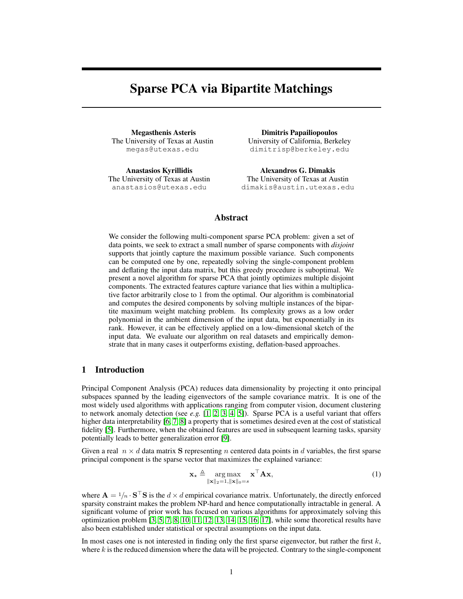# Sparse PCA via Bipartite Matchings

Megasthenis Asteris The University of Texas at Austin megas@utexas.edu

Anastasios Kyrillidis The University of Texas at Austin anastasios@utexas.edu

Dimitris Papailiopoulos University of California, Berkeley dimitrisp@berkeley.edu

Alexandros G. Dimakis The University of Texas at Austin dimakis@austin.utexas.edu

## Abstract

We consider the following multi-component sparse PCA problem: given a set of data points, we seek to extract a small number of sparse components with *disjoint* supports that jointly capture the maximum possible variance. Such components can be computed one by one, repeatedly solving the single-component problem and deflating the input data matrix, but this greedy procedure is suboptimal. We present a novel algorithm for sparse PCA that jointly optimizes multiple disjoint components. The extracted features capture variance that lies within a multiplicative factor arbitrarily close to 1 from the optimal. Our algorithm is combinatorial and computes the desired components by solving multiple instances of the bipartite maximum weight matching problem. Its complexity grows as a low order polynomial in the ambient dimension of the input data, but exponentially in its rank. However, it can be effectively applied on a low-dimensional sketch of the input data. We evaluate our algorithm on real datasets and empirically demonstrate that in many cases it outperforms existing, deflation-based approaches.

## 1 Introduction

Principal Component Analysis (PCA) reduces data dimensionality by projecting it onto principal subspaces spanned by the leading eigenvectors of the sample covariance matrix. It is one of the most widely used algorithms with applications ranging from computer vision, document clustering to network anomaly detection (see *e.g.* [\[1,](#page-7-0) [2,](#page-7-1) [3,](#page-7-2) [4,](#page-8-0) [5\]](#page-8-1)). Sparse PCA is a useful variant that offers higher data interpretability [\[6,](#page-8-2) [7,](#page-8-3) [8\]](#page-8-4) a property that is sometimes desired even at the cost of statistical fidelity [\[5\]](#page-8-1). Furthermore, when the obtained features are used in subsequent learning tasks, sparsity potentially leads to better generalization error [\[9\]](#page-8-5).

Given a real  $n \times d$  data matrix S representing n centered data points in d variables, the first sparse principal component is the sparse vector that maximizes the explained variance:

<span id="page-0-0"></span>
$$
\mathbf{x}_{\star} \triangleq \underset{\|\mathbf{x}\|_{2}=1, \|\mathbf{x}\|_{0}=s}{\arg \max} \mathbf{x}^{\top} \mathbf{A} \mathbf{x},\tag{1}
$$

where  $\mathbf{A} = 1/n \cdot \mathbf{S}^\top \mathbf{S}$  is the  $d \times d$  empirical covariance matrix. Unfortunately, the directly enforced sparsity constraint makes the problem NP-hard and hence computationally intractable in general. A significant volume of prior work has focused on various algorithms for approximately solving this optimization problem  $[3, 5, 7, 8, 10, 11, 12, 13, 14, 15, 16, 17]$  $[3, 5, 7, 8, 10, 11, 12, 13, 14, 15, 16, 17]$  $[3, 5, 7, 8, 10, 11, 12, 13, 14, 15, 16, 17]$  $[3, 5, 7, 8, 10, 11, 12, 13, 14, 15, 16, 17]$  $[3, 5, 7, 8, 10, 11, 12, 13, 14, 15, 16, 17]$  $[3, 5, 7, 8, 10, 11, 12, 13, 14, 15, 16, 17]$  $[3, 5, 7, 8, 10, 11, 12, 13, 14, 15, 16, 17]$  $[3, 5, 7, 8, 10, 11, 12, 13, 14, 15, 16, 17]$  $[3, 5, 7, 8, 10, 11, 12, 13, 14, 15, 16, 17]$  $[3, 5, 7, 8, 10, 11, 12, 13, 14, 15, 16, 17]$  $[3, 5, 7, 8, 10, 11, 12, 13, 14, 15, 16, 17]$  $[3, 5, 7, 8, 10, 11, 12, 13, 14, 15, 16, 17]$ , while some theoretical results have also been established under statistical or spectral assumptions on the input data.

In most cases one is not interested in finding only the first sparse eigenvector, but rather the first  $k$ , where k is the reduced dimension where the data will be projected. Contrary to the single-component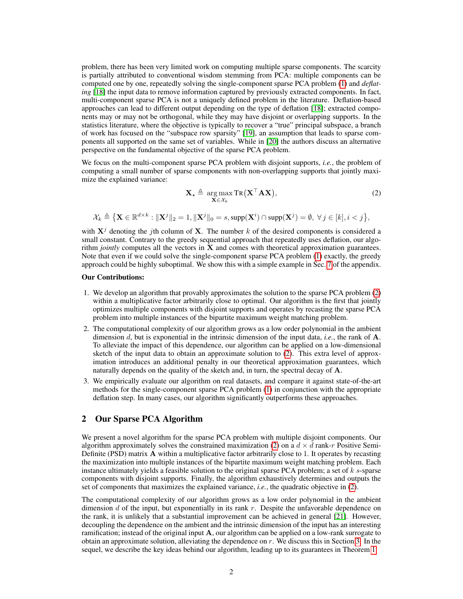problem, there has been very limited work on computing multiple sparse components. The scarcity is partially attributed to conventional wisdom stemming from PCA: multiple components can be computed one by one, repeatedly solving the single-component sparse PCA problem [\(1\)](#page-0-0) and *deflating* [\[18\]](#page-8-14) the input data to remove information captured by previously extracted components. In fact, multi-component sparse PCA is not a uniquely defined problem in the literature. Deflation-based approaches can lead to different output depending on the type of deflation [\[18\]](#page-8-14); extracted components may or may not be orthogonal, while they may have disjoint or overlapping supports. In the statistics literature, where the objective is typically to recover a "true" principal subspace, a branch of work has focused on the "subspace row sparsity" [\[19\]](#page-8-15), an assumption that leads to sparse components all supported on the same set of variables. While in [\[20\]](#page-8-16) the authors discuss an alternative perspective on the fundamental objective of the sparse PCA problem.

We focus on the multi-component sparse PCA problem with disjoint supports, *i.e.*, the problem of computing a small number of sparse components with non-overlapping supports that jointly maximize the explained variance:

<span id="page-1-0"></span>
$$
\mathbf{X}_{\star} \triangleq \underset{\mathbf{X} \in \mathcal{X}_{k}}{\arg \max} \mathrm{TR} \big( \mathbf{X}^{\top} \mathbf{A} \mathbf{X} \big), \tag{2}
$$

 $\mathcal{X}_k \triangleq \left\{ \mathbf{X} \in \mathbb{R}^{d \times k} : \|\mathbf{X}^j\|_2 = 1, \|\mathbf{X}^j\|_0 = s, \mathrm{supp}(\mathbf{X}^i) \cap \mathrm{supp}(\mathbf{X}^j) = \emptyset, \ \forall \, j \in [k], i < j \right\},$ 

with  $X^{j}$  denoting the jth column of X. The number k of the desired components is considered a small constant. Contrary to the greedy sequential approach that repeatedly uses deflation, our algorithm *jointly* computes all the vectors in X and comes with theoretical approximation guarantees. Note that even if we could solve the single-component sparse PCA problem [\(1\)](#page-0-0) exactly, the greedy approach could be highly suboptimal. We show this with a simple example in Sec. 7 of the appendix.

#### Our Contributions:

- 1. We develop an algorithm that provably approximates the solution to the sparse PCA problem [\(2\)](#page-1-0) within a multiplicative factor arbitrarily close to optimal. Our algorithm is the first that jointly optimizes multiple components with disjoint supports and operates by recasting the sparse PCA problem into multiple instances of the bipartite maximum weight matching problem.
- 2. The computational complexity of our algorithm grows as a low order polynomial in the ambient dimension d, but is exponential in the intrinsic dimension of the input data, *i.e.*, the rank of A. To alleviate the impact of this dependence, our algorithm can be applied on a low-dimensional sketch of the input data to obtain an approximate solution to [\(2\)](#page-1-0). This extra level of approximation introduces an additional penalty in our theoretical approximation guarantees, which naturally depends on the quality of the sketch and, in turn, the spectral decay of A.
- 3. We empirically evaluate our algorithm on real datasets, and compare it against state-of-the-art methods for the single-component sparse PCA problem [\(1\)](#page-0-0) in conjunction with the appropriate deflation step. In many cases, our algorithm significantly outperforms these approaches.

### 2 Our Sparse PCA Algorithm

We present a novel algorithm for the sparse PCA problem with multiple disjoint components. Our algorithm approximately solves the constrained maximization [\(2\)](#page-1-0) on a  $d \times d$  rank-r Positive Semi-Definite (PSD) matrix A within a multiplicative factor arbitrarily close to 1. It operates by recasting the maximization into multiple instances of the bipartite maximum weight matching problem. Each instance ultimately yields a feasible solution to the original sparse PCA problem; a set of k s-sparse components with disjoint supports. Finally, the algorithm exhaustively determines and outputs the set of components that maximizes the explained variance, *i.e.*, the quadratic objective in [\(2\)](#page-1-0).

The computational complexity of our algorithm grows as a low order polynomial in the ambient dimension  $d$  of the input, but exponentially in its rank  $r$ . Despite the unfavorable dependence on the rank, it is unlikely that a substantial improvement can be achieved in general [\[21\]](#page-8-17). However, decoupling the dependence on the ambient and the intrinsic dimension of the input has an interesting ramification; instead of the original input  $A$ , our algorithm can be applied on a low-rank surrogate to obtain an approximate solution, alleviating the dependence on  $r$ . We discuss this in Section [3.](#page-4-0) In the sequel, we describe the key ideas behind our algorithm, leading up to its guarantees in Theorem [1.](#page-2-0)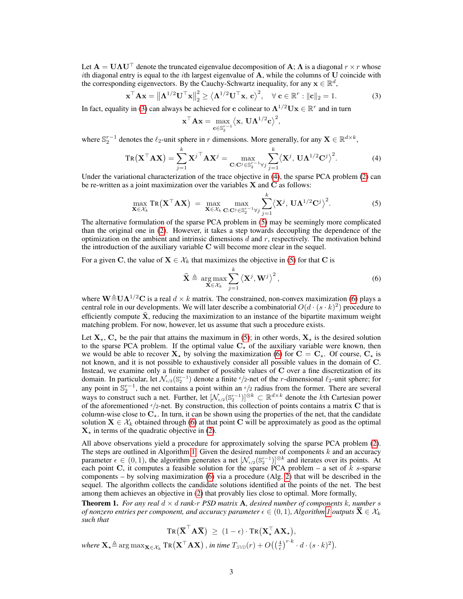Let  $A = U\Lambda U^{\top}$  denote the truncated eigenvalue decomposition of A;  $\Lambda$  is a diagonal  $r \times r$  whose ith diagonal entry is equal to the *i*th largest eigenvalue of  $A$ , while the columns of  $U$  coincide with the corresponding eigenvectors. By the Cauchy-Schwartz inequality, for any  $\mathbf{x} \in \mathbb{R}^d$ ,

$$
\mathbf{x}^{\top} \mathbf{A} \mathbf{x} = \left\| \mathbf{\Lambda}^{1/2} \mathbf{U}^{\top} \mathbf{x} \right\|_{2}^{2} \ge \left\langle \mathbf{\Lambda}^{1/2} \mathbf{U}^{\top} \mathbf{x}, \mathbf{c} \right\rangle^{2}, \quad \forall \mathbf{c} \in \mathbb{R}^{r} : \|\mathbf{c}\|_{2} = 1.
$$
 (3)

<span id="page-2-4"></span><span id="page-2-3"></span><span id="page-2-2"></span><span id="page-2-1"></span>,

In fact, equality in [\(3\)](#page-2-1) can always be achieved for c colinear to  $\mathbf{\Lambda}^{1/2}\mathbf{U}\mathbf{x} \in \mathbb{R}^r$  and in turn

$$
\mathbf{x}^\top \mathbf{A} \mathbf{x} = \max_{\mathbf{c} \in \mathbb{S}_2^{r-1}} \big\langle \mathbf{x},\, \mathbf{U} \mathbf{\Lambda}^{1/2} \mathbf{c} \big\rangle^2
$$

where  $\mathbb{S}_2^{r-1}$  denotes the  $\ell_2$ -unit sphere in r dimensions. More generally, for any  $\mathbf{X} \in \mathbb{R}^{d \times k}$ ,

$$
TR(\mathbf{X}^{\top} \mathbf{A} \mathbf{X}) = \sum_{j=1}^{k} {\mathbf{X}^{j}}^{\top} \mathbf{A} \mathbf{X}^{j} = \max_{\mathbf{C}: \mathbf{C}^{j} \in \mathbb{S}_{2}^{r-1} \forall j} \sum_{j=1}^{k} \langle \mathbf{X}^{j}, \mathbf{U} \mathbf{\Lambda}^{1/2} \mathbf{C}^{j} \rangle^{2}.
$$
 (4)

Under the variational characterization of the trace objective in [\(4\)](#page-2-2), the sparse PCA problem [\(2\)](#page-1-0) can be re-written as a joint maximization over the variables  $X$  and  $C$  as follows:

$$
\max_{\mathbf{X}\in\mathcal{X}_k} \text{Tr}\left(\mathbf{X}^\top \mathbf{A} \mathbf{X}\right) = \max_{\mathbf{X}\in\mathcal{X}_k} \max_{\mathbf{C}: \mathbf{C}^j \in \mathbb{S}_2^{r-1} \forall j} \sum_{j=1}^k \left\langle \mathbf{X}^j, \mathbf{U} \mathbf{\Lambda}^{1/2} \mathbf{C}^j \right\rangle^2. \tag{5}
$$

The alternative formulation of the sparse PCA problem in [\(5\)](#page-2-3) may be seemingly more complicated than the original one in [\(2\)](#page-1-0). However, it takes a step towards decoupling the dependence of the optimization on the ambient and intrinsic dimensions  $d$  and  $r$ , respectively. The motivation behind the introduction of the auxiliary variable C will become more clear in the sequel.

For a given C, the value of  $X \in \mathcal{X}_k$  that maximizes the objective in [\(5\)](#page-2-3) for that C is

$$
\widehat{\mathbf{X}} \triangleq \underset{\mathbf{X} \in \mathcal{X}_k}{\arg \max} \sum_{j=1}^k \left\langle \mathbf{X}^j, \mathbf{W}^j \right\rangle^2, \tag{6}
$$

where  $\mathbf{W} \triangleq \mathbf{U} \mathbf{\Lambda}^{1/2} \mathbf{C}$  is a real  $d \times k$  matrix. The constrained, non-convex maximization [\(6\)](#page-2-4) plays a central role in our developments. We will later describe a combinatorial  $O(d \cdot (s \cdot k)^2)$  procedure to efficiently compute  $\hat{\mathbf{x}}$ , reducing the maximization to an instance of the bipartite maximum weight matching problem. For now, however, let us assume that such a procedure exists.

Let  $X_{+}$ ,  $C_{+}$  be the pair that attains the maximum in [\(5\)](#page-2-3); in other words,  $X_{+}$  is the desired solution to the sparse PCA problem. If the optimal value  $C_{\star}$  of the auxiliary variable were known, then we would be able to recover  $X_{\star}$  by solving the maximization [\(6\)](#page-2-4) for  $C = C_{\star}$ . Of course,  $C_{\star}$  is not known, and it is not possible to exhaustively consider all possible values in the domain of C. Instead, we examine only a finite number of possible values of C over a fine discretization of its domain. In particular, let  $\mathcal{N}_{\epsilon/2}(\mathbb{S}_2^{r-1})$  denote a finite  $\epsilon/2$ -net of the *r*-dimensional  $\ell_2$ -unit sphere; for any point in  $\mathbb{S}_2^{r-1}$ , the net contains a point within an  $\epsilon/2$  radius from the former. There are several ways to construct such a net. Further, let  $[\mathcal{N}_{\epsilon/2}(\mathbb{S}_2^{r-1})]^{\otimes k} \subset \mathbb{R}^{d \times k}$  denote the kth Cartesian power of the aforementioned  $\epsilon/2$ -net. By construction, this collection of points contains a matrix C that is column-wise close to  $C_{\star}$ . In turn, it can be shown using the properties of the net, that the candidate solution  $X \in \mathcal{X}_k$  obtained through [\(6\)](#page-2-4) at that point C will be approximately as good as the optimal  $X<sub>*</sub>$  in terms of the quadratic objective in [\(2\)](#page-1-0).

All above observations yield a procedure for approximately solving the sparse PCA problem [\(2\)](#page-1-0). The steps are outlined in Algorithm [1.](#page-3-0) Given the desired number of components  $k$  and an accuracy parameter  $\epsilon \in (0,1)$ , the algorithm generates a net  $[\mathcal{N}_{\epsilon/2}(S_2^{r-1})]^{\otimes k}$  and iterates over its points. At each point C, it computes a feasible solution for the sparse PCA problem – a set of  $k$  s-sparse components – by solving maximization [\(6\)](#page-2-4) via a procedure (Alg. [2\)](#page-4-1) that will be described in the sequel. The algorithm collects the candidate solutions identified at the points of the net. The best among them achieves an objective in [\(2\)](#page-1-0) that provably lies close to optimal. More formally,

<span id="page-2-0"></span>**Theorem 1.** For any real  $d \times d$  rank-r PSD matrix **A**, desired number of components k, number s *of nonzero entries per component, and accuracy parameter*  $\epsilon \in (0,1)$ *, Algorithm [1](#page-3-0) outputs*  $\overline{\mathbf{X}} \in \mathcal{X}_k$ *such that*

 $\mathrm{Tr}\big(\mathbf{\overline{X}}^\top \mathbf{A} \mathbf{\overline{X}}\big) \ \geq \ (1-\epsilon) \cdot \mathrm{Tr}\big(\mathbf{X}_\star^\top \mathbf{A} \mathbf{X}_\star\big),$ 

 $\text{where } \mathbf{X}_\star \triangleq \arg \max_{\mathbf{X} \in \mathcal{X}_k} \text{Tr} \big( \mathbf{X}^\top \mathbf{A} \mathbf{X} \big) \,, \text{ in time } T_{\text{SVD}}(r) + O\big( \big(\frac{4}{\epsilon}\big)^{r \cdot k} \cdot d \cdot (s \cdot k)^2 \big).$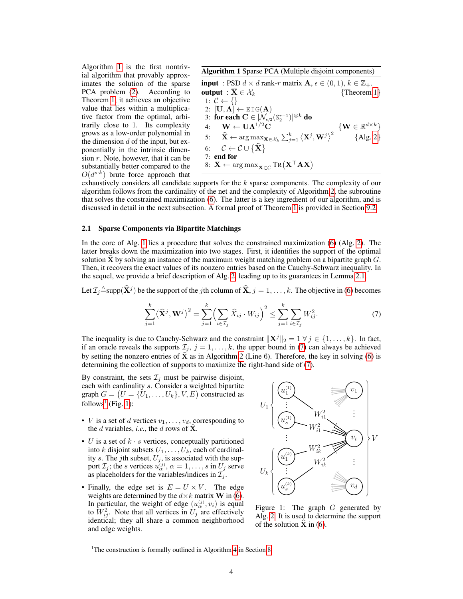Algorithm [1](#page-3-0) is the first nontrivial algorithm that provably approximates the solution of the sparse PCA problem  $(2)$ . According to Theorem [1,](#page-2-0) it achieves an objective value that lies within a multiplicative factor from the optimal, arbitrarily close to 1. Its complexity grows as a low-order polynomial in the dimension  $d$  of the input, but exponentially in the intrinsic dimension  $r$ . Note, however, that it can be substantially better compared to the  $O(d^{s \cdot k})$  brute force approach that

<span id="page-3-0"></span>Algorithm 1 Sparse PCA (Multiple disjoint components)  
\ninput : PSD 
$$
d \times d
$$
 rank-r matrix  $\mathbf{A}, \epsilon \in (0, 1), k \in \mathbb{Z}_+$ .  
\noutput :  $\overline{\mathbf{X}} \in \mathcal{X}_k$  {Theorem 1}  
\n1:  $C \leftarrow \{\}$   
\n2: [U,  $\Lambda$ ]  $\leftarrow$  EIG(**A**)  
\n3: **for each**  $C \in [\mathcal{N}_{\epsilon/2}(\mathbb{S}_2^{r-1})]^{\otimes k}$  **do**  
\n4:  $\mathbf{W} \leftarrow \mathbf{U}\Lambda^{1/2}\mathbf{C}$  { $\mathbf{W} \in \mathbb{R}^{d \times k}$ }  
\n5:  $\hat{\mathbf{X}} \leftarrow \arg \max_{\mathbf{X} \in \mathcal{X}_k} \sum_{j=1}^k \langle \mathbf{X}^j, \mathbf{W}^j \rangle^2$  {Alg. 2}  
\n6:  $C \leftarrow C \cup {\{\hat{\mathbf{X}}\}}$   
\n7: **end for**  
\n8:  $\overline{\mathbf{X}} \leftarrow \arg \max_{\mathbf{X} \in \mathcal{C}} \text{Tr}(\mathbf{X}^\top \mathbf{A} \mathbf{X})$ 

exhaustively considers all candidate supports for the k sparse components. The complexity of our algorithm follows from the cardinality of the net and the complexity of Algorithm [2,](#page-4-1) the subroutine that solves the constrained maximization [\(6\)](#page-2-4). The latter is a key ingredient of our algorithm, and is discussed in detail in the next subsection. A formal proof of Theorem [1](#page-2-0) is provided in Section 9.2.

#### 2.1 Sparse Components via Bipartite Matchings

In the core of Alg. [1](#page-3-0) lies a procedure that solves the constrained maximization [\(6\)](#page-2-4) (Alg. [2\)](#page-4-1). The latter breaks down the maximization into two stages. First, it identifies the support of the optimal solution  $\hat{\mathbf{X}}$  by solving an instance of the maximum weight matching problem on a bipartite graph  $G$ . Then, it recovers the exact values of its nonzero entries based on the Cauchy-Schwarz inequality. In the sequel, we provide a brief description of Alg. [2,](#page-4-1) leading up to its guarantees in Lemma [2.1.](#page-4-2)

Let  $\mathcal{I}_j$   $\triangleq$  supp $(\widehat{\mathbf{X}}^j)$  be the support of the *j*th column of  $\widehat{\mathbf{X}},$   $j=1,\ldots,k.$  The objective in [\(6\)](#page-2-4) becomes

$$
\sum_{j=1}^{k} \langle \hat{\mathbf{X}}^{j}, \mathbf{W}^{j} \rangle^{2} = \sum_{j=1}^{k} \Biggl( \sum_{i \in \mathcal{I}_{j}} \hat{X}_{ij} \cdot W_{ij} \Biggr)^{2} \le \sum_{j=1}^{k} \sum_{i \in \mathcal{I}_{j}} W_{ij}^{2}.
$$
 (7)

The inequality is due to Cauchy-Schwarz and the constraint  $\|\mathbf{X}^{j}\|_{2} = 1 \forall j \in \{1, \ldots, k\}$ . In fact, if an oracle reveals the supports  $\mathcal{I}_j$ ,  $j = 1, \ldots, k$ , the upper bound in [\(7\)](#page-3-1) can always be achieved by setting the nonzero entries of  $\hat{\mathbf{X}}$  as in Algorithm [2](#page-4-1) (Line 6). Therefore, the key in solving [\(6\)](#page-2-4) is determining the collection of supports to maximize the right-hand side of [\(7\)](#page-3-1).

By constraint, the sets  $\mathcal{I}_j$  must be pairwise disjoint, each with cardinality s. Consider a weighted bipartite graph  $G = (U = \{U_1, \ldots, U_k\}, V, E)$  constructed as  $follows<sup>1</sup>$  $follows<sup>1</sup>$  $follows<sup>1</sup>$  (Fig. [1\)](#page-3-3):

- *V* is a set of *d* vertices  $v_1, \ldots, v_d$ , corresponding to the d variables, *i.e.*, the d rows of  $\hat{\mathbf{X}}$ .
- U is a set of  $k \cdot s$  vertices, conceptually partitioned into k disjoint subsets  $U_1, \ldots, U_k$ , each of cardinality s. The jth subset,  $U_j$ , is associated with the support  $\mathcal{I}_j$ ; the s vertices  $u_{\alpha}^{(j)}$ ,  $\alpha = 1, \ldots, s$  in  $U_j$  serve as placeholders for the variables/indices in  $\mathcal{I}_i$ .
- Finally, the edge set is  $E = U \times V$ . The edge weights are determined by the  $d \times k$  matrix **W** in [\(6\)](#page-2-4). In particular, the weight of edge  $(u_{\alpha}^{(j)}, v_i)$  is equal to  $W_{ij}^2$ . Note that all vertices in  $U_j$  are effectively identical; they all share a common neighborhood and edge weights.

<span id="page-3-3"></span><span id="page-3-1"></span>

Figure 1: The graph G generated by Alg. [2.](#page-4-1) It is used to determine the support of the solution  $X$  in [\(6\)](#page-2-4).

<span id="page-3-2"></span><sup>&</sup>lt;sup>1</sup>The construction is formally outlined in Algorithm 4 in Section 8.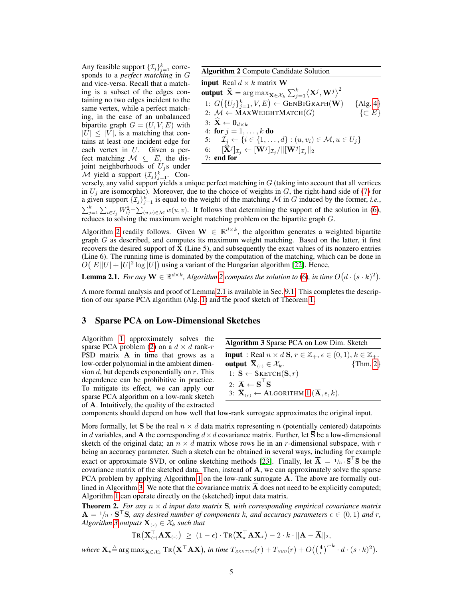Any feasible support  $\{\mathcal{I}_j\}_{j=1}^k$  corresponds to a *perfect matching* in G and vice-versa. Recall that a matching is a subset of the edges containing no two edges incident to the same vertex, while a perfect matching, in the case of an unbalanced bipartite graph  $G = (U, V, E)$  with  $|U| \leq |V|$ , is a matching that contains at least one incident edge for each vertex in  $U$ . Given a perfect matching  $\mathcal{M} \subseteq E$ , the disjoint neighborhoods of  $U_j$ s under M yield a support  $\{\mathcal{I}_j\}_{j=1}^k$ . Con-

<span id="page-4-1"></span>Algorithm 2 Compute Candidate Solution

input Real  $d \times k$  matrix W output  $\widehat{\mathbf{X}} = \argmax_{\mathbf{X} \in \mathcal{X}_k} \sum_{j=1}^k \bigl\langle \mathbf{X}^j, \mathbf{W}^j\bigr\rangle^2$ 1:  $G({U_j}_{j=1}^k, V, E) \leftarrow \text{GENBIGRAPH}(\mathbf{W})$  {Alg. 4} 2:  $\mathcal{M} \leftarrow \text{MAXWEIGHTMATOR}(G)$  {⊂ E} 3:  $\widehat{\mathbf{X}} \leftarrow \mathbf{0}_{d \times k}$ 4: for  $j = 1, ..., k$  do 5:  $\tilde{I}_j \leftarrow \{i \in \{1, ..., d\} : (u, v_i) \in \mathcal{M}, u \in U_j\}$ 6:  $[\widehat{\mathbf{X}}^j]_{\mathcal{I}_j} \leftarrow [\mathbf{W}^j]_{\mathcal{I}_j} / \| [\mathbf{W}^j]_{\mathcal{I}_j} \|_2$ 7: end for

versely, any valid support yields a unique perfect matching in  $G$  (taking into account that all vertices in  $U_j$  are isomorphic). Moreover, due to the choice of weights in  $G$ , the right-hand side of [\(7\)](#page-3-1) for a given support  $\{\mathcal{I}_j\}_{j=1}^k$  is equal to the weight of the matching M in G induced by the former, *i.e.*,  $\sum_{j=1}^k \sum_{i \in \mathcal{I}_j} W_{ij}^2 = \sum_{(u,v) \in \mathcal{M}} w(u,v)$ . It follows that determining the support of the solution in [\(6\)](#page-2-4), reduces to solving the maximum weight matching problem on the bipartite graph  $G$ .

Algorithm [2](#page-4-1) readily follows. Given  $\mathbf{W} \in \mathbb{R}^{d \times k}$ , the algorithm generates a weighted bipartite graph  $G$  as described, and computes its maximum weight matching. Based on the latter, it first recovers the desired support of  $\hat{\mathbf{X}}$  (Line 5), and subsequently the exact values of its nonzero entries (Line 6). The running time is dominated by the computation of the matching, which can be done in  $O(|E||U| + |U|^2 \log |U|)$  using a variant of the Hungarian algorithm [\[22\]](#page-8-18). Hence,

<span id="page-4-2"></span>**Lemma [2](#page-4-1).1.** For any  $\mathbf{W} \in \mathbb{R}^{d \times k}$ , Algorithm 2 computes the solution to [\(6\)](#page-2-4), in time  $O(d \cdot (s \cdot k)^2)$ .

A more formal analysis and proof of Lemma [2.1](#page-4-2) is available in Sec. 9.1. This completes the description of our sparse PCA algorithm (Alg. [1\)](#page-3-0) and the proof sketch of Theorem [1.](#page-2-0)

#### <span id="page-4-0"></span>3 Sparse PCA on Low-Dimensional Sketches

Algorithm [1](#page-3-0) approximately solves the sparse PCA problem [\(2\)](#page-1-0) on a  $d \times d$  rank-r PSD matrix  $A$  in time that grows as a low-order polynomial in the ambient dimension  $d$ , but depends exponentially on  $r$ . This dependence can be prohibitive in practice. To mitigate its effect, we can apply our sparse PCA algorithm on a low-rank sketch of A. Intuitively, the quality of the extracted

<span id="page-4-4"></span>Algorithm 3 Sparse PCA on Low Dim. Sketch input : Real  $n \times d$  S,  $r \in \mathbb{Z}_+$ ,  $\epsilon \in (0,1)$ ,  $k \in \mathbb{Z}_+$ . **output**  $\overline{\mathbf{X}}_{(r)} \in \mathcal{X}_k$ . {Thm. [2](#page-4-3)} 1:  $\overline{S} \leftarrow$  SKETCH(S, r) 2:  $\overline{\mathbf{A}} \leftarrow \overline{\mathbf{S}}^{\top} \overline{\mathbf{S}}$ 3:  $\overline{\mathbf{X}}_{(r)} \leftarrow \text{ALGORITHM 1} (\overline{\mathbf{A}}, \epsilon, k).$  $\overline{\mathbf{X}}_{(r)} \leftarrow \text{ALGORITHM 1} (\overline{\mathbf{A}}, \epsilon, k).$  $\overline{\mathbf{X}}_{(r)} \leftarrow \text{ALGORITHM 1} (\overline{\mathbf{A}}, \epsilon, k).$ 

components should depend on how well that low-rank surrogate approximates the original input.

More formally, let S be the real  $n \times d$  data matrix representing n (potentially centered) datapoints in d variables, and A the corresponding  $d \times d$  covariance matrix. Further, let  $\overline{S}$  be a low-dimensional sketch of the original data; an  $n \times d$  matrix whose rows lie in an r-dimensional subspace, with r being an accuracy parameter. Such a sketch can be obtained in several ways, including for example exact or approximate SVD, or online sketching methods [\[23\]](#page-8-19). Finally, let  $\overline{A} = 1/n \cdot \overline{S}^\top \overline{S}$  be the covariance matrix of the sketched data. Then, instead of A, we can approximately solve the sparse PCA problem by applying Algorithm [1](#page-3-0) on the low-rank surrogate  $\overline{A}$ . The above are formally out-lined in Algorithm [3.](#page-4-4) We note that the covariance matrix  $\overline{A}$  does not need to be explicitly computed; Algorithm [1](#page-3-0) can operate directly on the (sketched) input data matrix.

<span id="page-4-3"></span>**Theorem 2.** For any  $n \times d$  *input data matrix* S, with corresponding empirical covariance matrix  $\mathbf{A} = 1/n \cdot \mathbf{S}^\top \mathbf{S}$ , any desired number of components k, and accuracy parameters  $\epsilon \in (0,1)$  and r, *Algorithm 3 outputs*  $\mathbf{X}_{(r)} \in \mathcal{X}_k$  *such that* 

$$
\text{Tr}\big(\mathbf{X}_{(r)}^\top \mathbf{A} \mathbf{X}_{(r)}\big) \, \geq \, (1-\epsilon) \cdot \text{Tr}\big(\mathbf{X}_\star^\top \mathbf{A} \mathbf{X}_\star\big) - 2 \cdot k \cdot \|\mathbf{A} - \overline{\mathbf{A}}\|_2,
$$

 $\text{where } \mathbf{X}_\star \triangleq \arg\max_{\mathbf{X} \in \mathcal{X}_k} \text{Tr}(\mathbf{X}^\top \mathbf{A} \mathbf{X})$ , in time  $T_{SKETCH}(r) + T_{SVD}(r) + O\left(\left(\frac{4}{\epsilon}\right)^{r \cdot k} \cdot d \cdot (s \cdot k)^2\right)$ .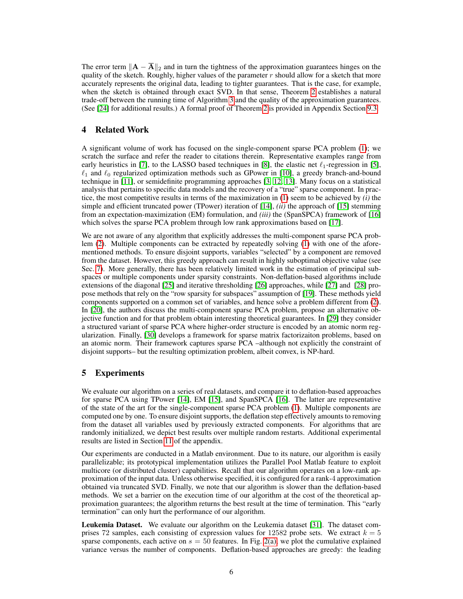The error term  $||A - \overline{A}||_2$  and in turn the tightness of the approximation guarantees hinges on the quality of the sketch. Roughly, higher values of the parameter  $r$  should allow for a sketch that more accurately represents the original data, leading to tighter guarantees. That is the case, for example, when the sketch is obtained through exact SVD. In that sense, Theorem [2](#page-4-3) establishes a natural trade-off between the running time of Algorithm [3](#page-4-4) and the quality of the approximation guarantees. (See [\[24\]](#page-8-20) for additional results.) A formal proof of Theorem [2](#page-4-3) is provided in Appendix Section 9.3.

## 4 Related Work

A significant volume of work has focused on the single-component sparse PCA problem [\(1\)](#page-0-0); we scratch the surface and refer the reader to citations therein. Representative examples range from early heuristics in [\[7\]](#page-8-3), to the LASSO based techniques in [\[8\]](#page-8-4), the elastic net  $\ell_1$ -regression in [\[5\]](#page-8-1),  $\ell_1$  and  $\ell_0$  regularized optimization methods such as GPower in [\[10\]](#page-8-6), a greedy branch-and-bound technique in [\[11\]](#page-8-7), or semidefinite programming approaches [\[3,](#page-7-2) [12,](#page-8-8) [13\]](#page-8-9). Many focus on a statistical analysis that pertains to specific data models and the recovery of a "true" sparse component. In practice, the most competitive results in terms of the maximization in [\(1\)](#page-0-0) seem to be achieved by *(i)* the simple and efficient truncated power (TPower) iteration of [\[14\]](#page-8-10), *(ii)* the approach of [\[15\]](#page-8-11) stemming from an expectation-maximization (EM) formulation, and *(iii)* the (SpanSPCA) framework of [\[16\]](#page-8-12) which solves the sparse PCA problem through low rank approximations based on [\[17\]](#page-8-13).

We are not aware of any algorithm that explicitly addresses the multi-component sparse PCA problem [\(2\)](#page-1-0). Multiple components can be extracted by repeatedly solving [\(1\)](#page-0-0) with one of the aforementioned methods. To ensure disjoint supports, variables "selected" by a component are removed from the dataset. However, this greedy approach can result in highly suboptimal objective value (see Sec. 7). More generally, there has been relatively limited work in the estimation of principal subspaces or multiple components under sparsity constraints. Non-deflation-based algorithms include extensions of the diagonal [\[25\]](#page-8-21) and iterative thresholding [\[26\]](#page-8-22) approaches, while [\[27\]](#page-8-23) and [\[28\]](#page-8-24) propose methods that rely on the "row sparsity for subspaces" assumption of [\[19\]](#page-8-15). These methods yield components supported on a common set of variables, and hence solve a problem different from [\(2\)](#page-1-0). In [\[20\]](#page-8-16), the authors discuss the multi-component sparse PCA problem, propose an alternative objective function and for that problem obtain interesting theoretical guarantees. In [\[29\]](#page-8-25) they consider a structured variant of sparse PCA where higher-order structure is encoded by an atomic norm regularization. Finally, [\[30\]](#page-8-26) develops a framework for sparse matrix factorizaiton problems, based on an atomic norm. Their framework captures sparse PCA –although not explicitly the constraint of disjoint supports– but the resulting optimization problem, albeit convex, is NP-hard.

## 5 Experiments

We evaluate our algorithm on a series of real datasets, and compare it to deflation-based approaches for sparse PCA using TPower [\[14\]](#page-8-10), EM [\[15\]](#page-8-11), and SpanSPCA [\[16\]](#page-8-12). The latter are representative of the state of the art for the single-component sparse PCA problem [\(1\)](#page-0-0). Multiple components are computed one by one. To ensure disjoint supports, the deflation step effectively amounts to removing from the dataset all variables used by previously extracted components. For algorithms that are randomly initialized, we depict best results over multiple random restarts. Additional experimental results are listed in Section 11 of the appendix.

Our experiments are conducted in a Matlab environment. Due to its nature, our algorithm is easily parallelizable; its prototypical implementation utilizes the Parallel Pool Matlab feature to exploit multicore (or distributed cluster) capabilities. Recall that our algorithm operates on a low-rank approximation of the input data. Unless otherwise specified, it is configured for a rank-4 approximation obtained via truncated SVD. Finally, we note that our algorithm is slower than the deflation-based methods. We set a barrier on the execution time of our algorithm at the cost of the theoretical approximation guarantees; the algorithm returns the best result at the time of termination. This "early termination" can only hurt the performance of our algorithm.

Leukemia Dataset. We evaluate our algorithm on the Leukemia dataset [\[31\]](#page-8-27). The dataset comprises 72 samples, each consisting of expression values for 12582 probe sets. We extract  $k = 5$ sparse components, each active on  $s = 50$  features. In Fig. [2\(a\),](#page-6-0) we plot the cumulative explained variance versus the number of components. Deflation-based approaches are greedy: the leading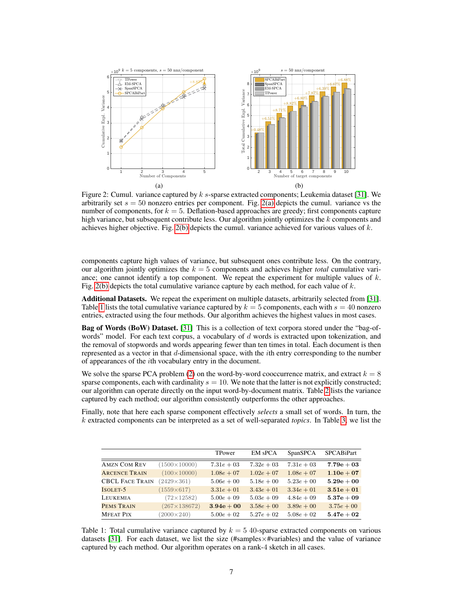<span id="page-6-0"></span>

<span id="page-6-1"></span>Figure 2: Cumul. variance captured by  $k$  s-sparse extracted components; Leukemia dataset [\[31\]](#page-8-27). We arbitrarily set  $s = 50$  nonzero entries per component. Fig. [2\(a\)](#page-6-0) depicts the cumul. variance vs the number of components, for  $k = 5$ . Deflation-based approaches are greedy; first components capture high variance, but subsequent contribute less. Our algorithm jointly optimizes the k components and achieves higher objective. Fig. [2\(b\)](#page-6-1) depicts the cumul. variance achieved for various values of  $k$ .

components capture high values of variance, but subsequent ones contribute less. On the contrary, our algorithm jointly optimizes the  $k = 5$  components and achieves higher *total* cumulative variance; one cannot identify a top component. We repeat the experiment for multiple values of  $k$ . Fig. [2\(b\)](#page-6-1) depicts the total cumulative variance capture by each method, for each value of  $k$ .

Additional Datasets. We repeat the experiment on multiple datasets, arbitrarily selected from [\[31\]](#page-8-27). Table [1](#page-6-2) lists the total cumulative variance captured by  $k = 5$  components, each with  $s = 40$  nonzero entries, extracted using the four methods. Our algorithm achieves the highest values in most cases.

Bag of Words (BoW) Dataset. [\[31\]](#page-8-27) This is a collection of text corpora stored under the "bag-ofwords" model. For each text corpus, a vocabulary of  $d$  words is extracted upon tokenization, and the removal of stopwords and words appearing fewer than ten times in total. Each document is then represented as a vector in that  $d$ -dimensional space, with the *i*th entry corresponding to the number of appearances of the ith vocabulary entry in the document.

We solve the sparse PCA problem [\(2\)](#page-1-0) on the word-by-word cooccurrence matrix, and extract  $k = 8$ sparse components, each with cardinality  $s = 10$ . We note that the latter is not explicitly constructed; our algorithm can operate directly on the input word-by-document matrix. Table [2](#page-7-3) lists the variance captured by each method; our algorithm consistently outperforms the other approaches.

Finally, note that here each sparse component effectively *selects* a small set of words. In turn, the k extracted components can be interpreted as a set of well-separated *topics*. In Table [3,](#page-7-4) we list the

<span id="page-6-2"></span>

|                        |                     | TPower       | <b>EM sPCA</b> | SpanSPCA     | <b>SPCABiPart</b> |
|------------------------|---------------------|--------------|----------------|--------------|-------------------|
| <b>AMZN COM REV</b>    | $(1500\times10000)$ | $7.31e + 03$ | $7.32e + 03$   | $7.31e + 03$ | $7.79e+03$        |
| <b>ARCENCE TRAIN</b>   | $(100\times10000)$  | $1.08e + 07$ | $1.02e + 07$   | $1.08e + 07$ | $1.10e + 07$      |
| <b>CBCL FACE TRAIN</b> | $(2429 \times 361)$ | $5.06e + 00$ | $5.18e + 00$   | $5.23e + 00$ | $5.29e + 00$      |
| ISOLET-5               | $(1559\times617)$   | $3.31e + 01$ | $3.43e + 01$   | $3.34e + 01$ | $3.51e + 01$      |
| <b>LEUKEMIA</b>        | $(72\times12582)$   | $5.00e + 09$ | $5.03e + 09$   | $4.84e + 09$ | $5.37e+09$        |
| PEMS TRAIN             | $(267\times138672)$ | $3.94e + 00$ | $3.58e + 00$   | $3.89e + 00$ | $3.75e + 00$      |
| <b>MFEAT PIX</b>       | $(2000 \times 240)$ | $5.00e + 02$ | $5.27e + 02$   | $5.08e + 02$ | $5.47e + 02$      |

Table 1: Total cumulative variance captured by  $k = 5$  40-sparse extracted components on various datasets [\[31\]](#page-8-27). For each dataset, we list the size (#samples $\times$ #variables) and the value of variance captured by each method. Our algorithm operates on a rank-4 sketch in all cases.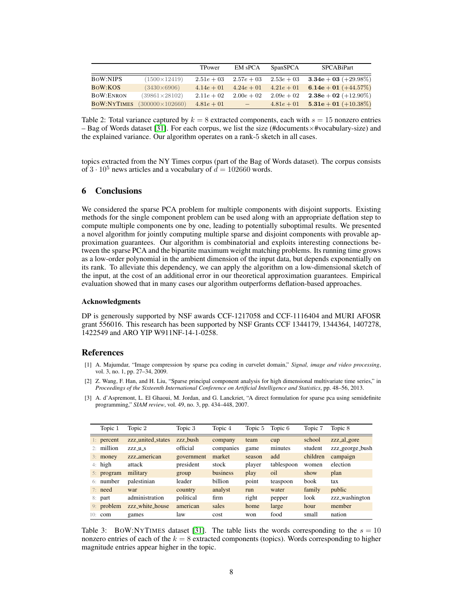<span id="page-7-3"></span>

|                    |                        | TPower        | <b>EM sPCA</b>           | SpanSPCA     | SPCABiPart              |
|--------------------|------------------------|---------------|--------------------------|--------------|-------------------------|
| <b>BOW:NIPS</b>    | $(1500 \times 12419)$  | $2.51e + 03$  | $2.57e + 03$             | $2.53e + 03$ | $3.34e + 03 (+29.98\%)$ |
| BOW:KOS            | $(3430\times6906)$     | $4.14e + 01$  | $4.24e + 01$             | $4.21e + 01$ | 6.14e + 01 $(+44.57%)$  |
| <b>BOW:ENRON</b>   | $(39861\times28102)$   | $2.11e + 0.2$ | $2.00e + 0.2$            | $2.09e + 02$ | $2.38e + 02 (+12.90\%)$ |
| <b>BOW:NYTIMES</b> | $(300000\times102660)$ | $4.81e + 01$  | $\overline{\phantom{a}}$ | $4.81e + 01$ | $5.31e + 01 (+10.38\%)$ |

Table 2: Total variance captured by  $k = 8$  extracted components, each with  $s = 15$  nonzero entries – Bag of Words dataset [\[31\]](#page-8-27). For each corpus, we list the size (#documents×#vocabulary-size) and the explained variance. Our algorithm operates on a rank-5 sketch in all cases.

topics extracted from the NY Times corpus (part of the Bag of Words dataset). The corpus consists of  $3 \cdot 10^5$  news articles and a vocabulary of  $d = 102660$  words.

### 6 Conclusions

We considered the sparse PCA problem for multiple components with disjoint supports. Existing methods for the single component problem can be used along with an appropriate deflation step to compute multiple components one by one, leading to potentially suboptimal results. We presented a novel algorithm for jointly computing multiple sparse and disjoint components with provable approximation guarantees. Our algorithm is combinatorial and exploits interesting connections between the sparse PCA and the bipartite maximum weight matching problems. Its running time grows as a low-order polynomial in the ambient dimension of the input data, but depends exponentially on its rank. To alleviate this dependency, we can apply the algorithm on a low-dimensional sketch of the input, at the cost of an additional error in our theoretical approximation guarantees. Empirical evaluation showed that in many cases our algorithm outperforms deflation-based approaches.

#### Acknowledgments

DP is generously supported by NSF awards CCF-1217058 and CCF-1116404 and MURI AFOSR grant 556016. This research has been supported by NSF Grants CCF 1344179, 1344364, 1407278, 1422549 and ARO YIP W911NF-14-1-0258.

#### References

- <span id="page-7-0"></span>[1] A. Majumdar, "Image compression by sparse pca coding in curvelet domain," *Signal, image and video processing*, vol. 3, no. 1, pp. 27–34, 2009.
- <span id="page-7-1"></span>[2] Z. Wang, F. Han, and H. Liu, "Sparse principal component analysis for high dimensional multivariate time series," in *Proceedings of the Sixteenth International Conference on Artificial Intelligence and Statistics*, pp. 48–56, 2013.
- <span id="page-7-2"></span>[3] A. d'Aspremont, L. El Ghaoui, M. Jordan, and G. Lanckriet, "A direct formulation for sparse pca using semidefinite programming," *SIAM review*, vol. 49, no. 3, pp. 434–448, 2007.

<span id="page-7-4"></span>

|     | Topic 1      | Topic 2                  | Topic 3    | Topic 4   | Topic 5 | Topic 6    | Topic 7  | Topic 8         |
|-----|--------------|--------------------------|------------|-----------|---------|------------|----------|-----------------|
|     | $1:$ percent | zzz_united_states        | zzz bush   | company   | team    | cup        | school   | zzz_al_gore     |
| 2.1 | million      | ZZZ_u_S                  | official   | companies | game    | minutes    | student  | zzz_george_bush |
|     | $3:$ money   | zzz <sub>-american</sub> | government | market    | season  | add        | children | campaign        |
|     | $4:$ high    | attack                   | president  | stock     | player  | tablespoon | women    | election        |
|     | 5: program   | military                 | group      | business  | play    | oil        | show     | plan            |
|     | 6: number    | palestinian              | leader     | billion   | point   | teaspoon   | book     | tax             |
|     | $7:$ need    | war                      | country    | analyst   | run     | water      | family   | public          |
|     | $8:$ part    | administration           | political  | firm      | right   | pepper     | look     | zzz_washington  |
|     | 9: problem   | zzz_white_house          | american   | sales     | home    | large      | hour     | member          |
| 10: | com          | games                    | law        | cost      | won     | food       | small    | nation          |

Table 3: BOW:NYTIMES dataset [\[31\]](#page-8-27). The table lists the words corresponding to the  $s = 10$ nonzero entries of each of the  $k = 8$  extracted components (topics). Words corresponding to higher magnitude entries appear higher in the topic.